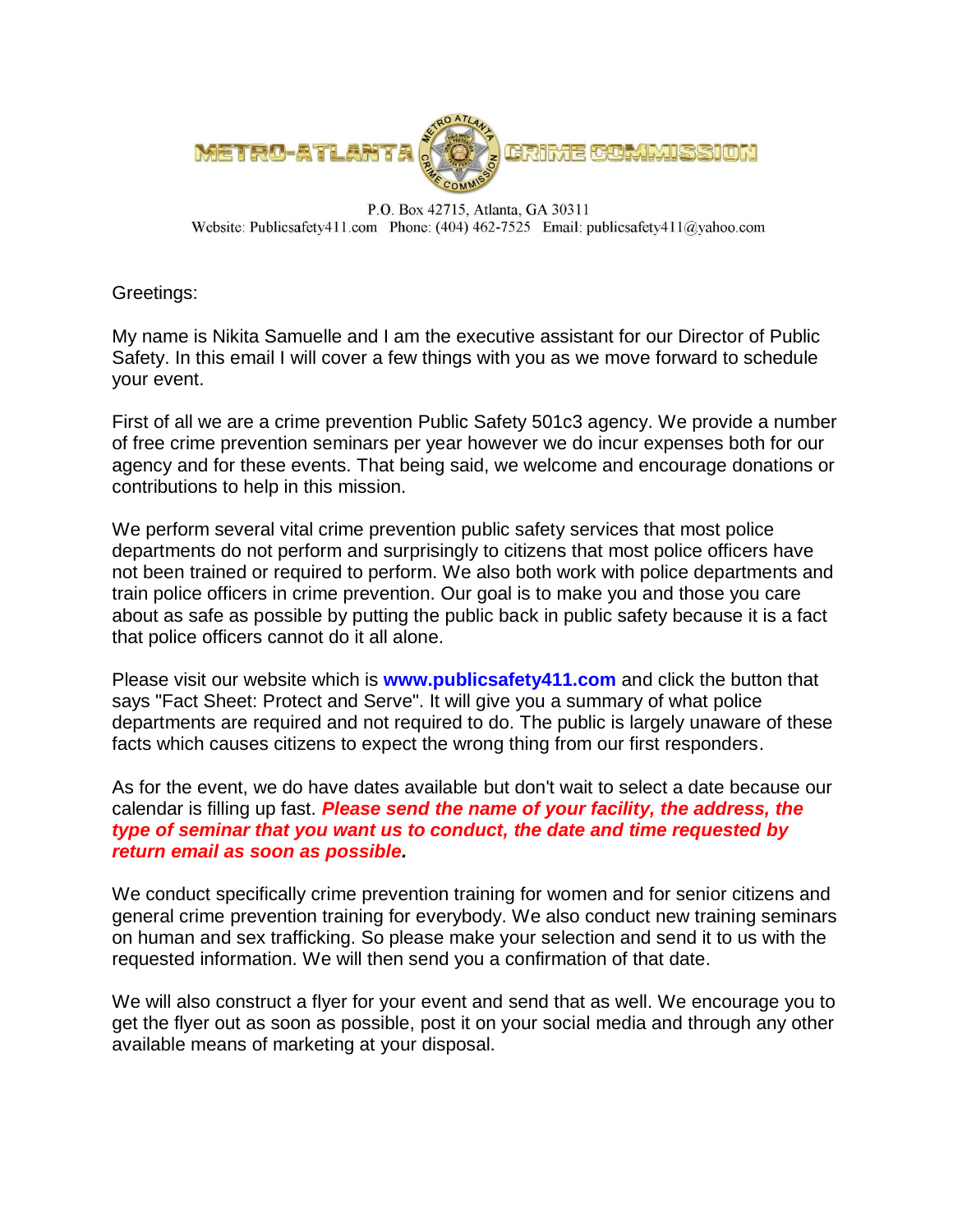

P.O. Box 42715, Atlanta, GA 30311 Website: Publicsafety411.com Phone: (404) 462-7525 Email: publicsafety411@yahoo.com

Greetings:

My name is Nikita Samuelle and I am the executive assistant for our Director of Public Safety. In this email I will cover a few things with you as we move forward to schedule your event.

First of all we are a crime prevention Public Safety 501c3 agency. We provide a number of free crime prevention seminars per year however we do incur expenses both for our agency and for these events. That being said, we welcome and encourage donations or contributions to help in this mission.

We perform several vital crime prevention public safety services that most police departments do not perform and surprisingly to citizens that most police officers have not been trained or required to perform. We also both work with police departments and train police officers in crime prevention. Our goal is to make you and those you care about as safe as possible by putting the public back in public safety because it is a fact that police officers cannot do it all alone.

Please visit our website which is **www.publicsafety411.com** and click the button that says "Fact Sheet: Protect and Serve". It will give you a summary of what police departments are required and not required to do. The public is largely unaware of these facts which causes citizens to expect the wrong thing from our first responders.

As for the event, we do have dates available but don't wait to select a date because our calendar is filling up fast. *Please send the name of your facility, the address, the type of seminar that you want us to conduct, the date and time requested by return email as soon as possible.*

We conduct specifically crime prevention training for women and for senior citizens and general crime prevention training for everybody. We also conduct new training seminars on human and sex trafficking. So please make your selection and send it to us with the requested information. We will then send you a confirmation of that date.

We will also construct a flyer for your event and send that as well. We encourage you to get the flyer out as soon as possible, post it on your social media and through any other available means of marketing at your disposal.